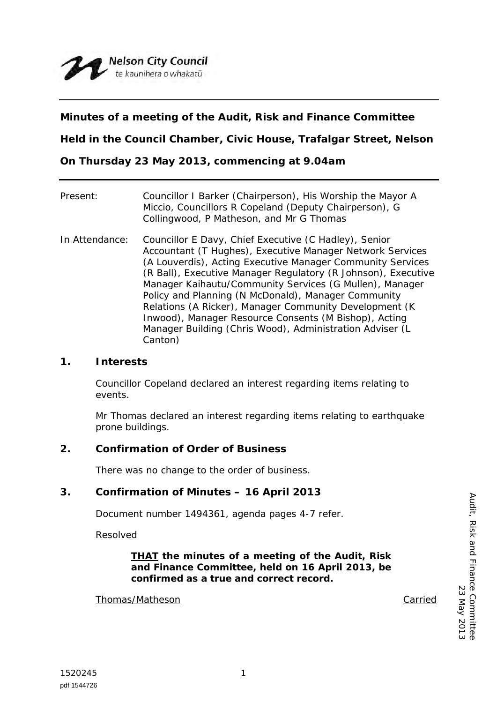

## **Minutes of a meeting of the Audit, Risk and Finance Committee**

**Held in the Council Chamber, Civic House, Trafalgar Street, Nelson**

**On Thursday 23 May 2013, commencing at 9.04am**

| Present:       | Councillor I Barker (Chairperson), His Worship the Mayor A<br>Miccio, Councillors R Copeland (Deputy Chairperson), G<br>Collingwood, P Matheson, and Mr G Thomas                                                                                                                                                                                                                                                                                                                                                                                               |
|----------------|----------------------------------------------------------------------------------------------------------------------------------------------------------------------------------------------------------------------------------------------------------------------------------------------------------------------------------------------------------------------------------------------------------------------------------------------------------------------------------------------------------------------------------------------------------------|
| In Attendance: | Councillor E Davy, Chief Executive (C Hadley), Senior<br>Accountant (T Hughes), Executive Manager Network Services<br>(A Louverdis), Acting Executive Manager Community Services<br>(R Ball), Executive Manager Regulatory (R Johnson), Executive<br>Manager Kaihautu/Community Services (G Mullen), Manager<br>Policy and Planning (N McDonald), Manager Community<br>Relations (A Ricker), Manager Community Development (K)<br>Inwood), Manager Resource Consents (M Bishop), Acting<br>Manager Building (Chris Wood), Administration Adviser (L<br>Canton) |

### **1. Interests**

Councillor Copeland declared an interest regarding items relating to events.

Mr Thomas declared an interest regarding items relating to earthquake prone buildings.

### **2. Confirmation of Order of Business**

There was no change to the order of business.

### **3. Confirmation of Minutes – 16 April 2013**

Document number 1494361, agenda pages 4-7 refer.

Resolved

#### *THAT the minutes of a meeting of the Audit, Risk and Finance Committee, held on 16 April 2013, be confirmed as a true and correct record.*

#### Thomas/Matheson Carried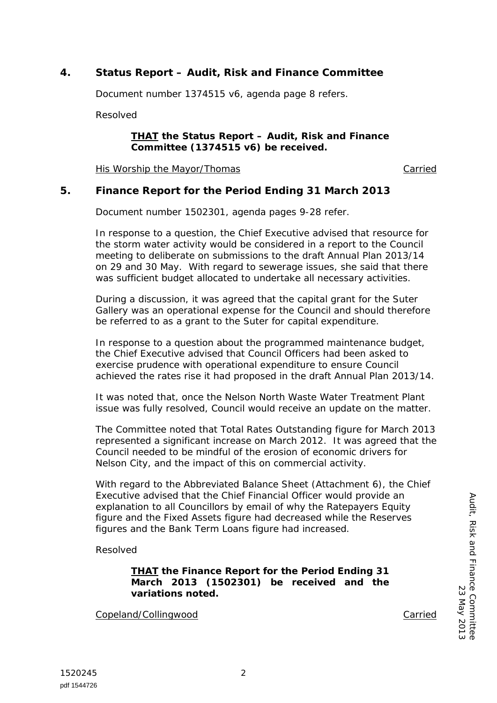# **4. Status Report – Audit, Risk and Finance Committee**

Document number 1374515 v6, agenda page 8 refers.

Resolved

#### *THAT the Status Report – Audit, Risk and Finance Committee (1374515 v6) be received.*

His Worship the Mayor/Thomas Carried

### **5. Finance Report for the Period Ending 31 March 2013**

Document number 1502301, agenda pages 9-28 refer.

In response to a question, the Chief Executive advised that resource for the storm water activity would be considered in a report to the Council meeting to deliberate on submissions to the draft Annual Plan 2013/14 on 29 and 30 May. With regard to sewerage issues, she said that there was sufficient budget allocated to undertake all necessary activities.

During a discussion, it was agreed that the capital grant for the Suter Gallery was an operational expense for the Council and should therefore be referred to as a grant to the Suter for capital expenditure.

In response to a question about the programmed maintenance budget, the Chief Executive advised that Council Officers had been asked to exercise prudence with operational expenditure to ensure Council achieved the rates rise it had proposed in the draft Annual Plan 2013/14.

It was noted that, once the Nelson North Waste Water Treatment Plant issue was fully resolved, Council would receive an update on the matter.

The Committee noted that Total Rates Outstanding figure for March 2013 represented a significant increase on March 2012. It was agreed that the Council needed to be mindful of the erosion of economic drivers for Nelson City, and the impact of this on commercial activity.

With regard to the Abbreviated Balance Sheet (Attachment 6), the Chief Executive advised that the Chief Financial Officer would provide an explanation to all Councillors by email of why the Ratepayers Equity figure and the Fixed Assets figure had decreased while the Reserves figures and the Bank Term Loans figure had increased.

Resolved

*THAT the Finance Report for the Period Ending 31 March 2013 (1502301) be received and the variations noted.*

Copeland/Collingwood Carried

Audit, Risk and Finance Committee

Audit, Risk and Finance Committee

23 May 2013

23 May 2013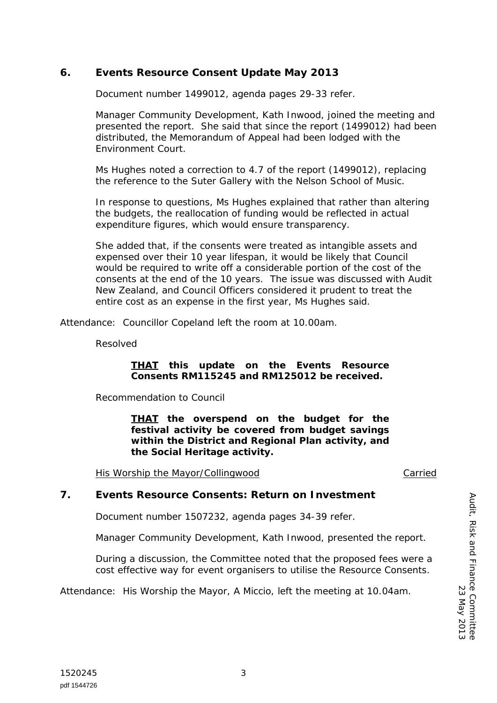# **6. Events Resource Consent Update May 2013**

Document number 1499012, agenda pages 29-33 refer.

Manager Community Development, Kath Inwood, joined the meeting and presented the report. She said that since the report (1499012) had been distributed, the Memorandum of Appeal had been lodged with the Environment Court.

Ms Hughes noted a correction to 4.7 of the report (1499012), replacing the reference to the Suter Gallery with the Nelson School of Music.

In response to questions, Ms Hughes explained that rather than altering the budgets, the reallocation of funding would be reflected in actual expenditure figures, which would ensure transparency.

She added that, if the consents were treated as intangible assets and expensed over their 10 year lifespan, it would be likely that Council would be required to write off a considerable portion of the cost of the consents at the end of the 10 years. The issue was discussed with Audit New Zealand, and Council Officers considered it prudent to treat the entire cost as an expense in the first year, Ms Hughes said.

Attendance: Councillor Copeland left the room at 10.00am.

Resolved

#### *THAT this update on the Events Resource Consents RM115245 and RM125012 be received.*

Recommendation to Council

*THAT the overspend on the budget for the festival activity be covered from budget savings within the District and Regional Plan activity, and the Social Heritage activity.*

His Worship the Mayor/Collingwood The Carried Carried

### **7. Events Resource Consents: Return on Investment**

Document number 1507232, agenda pages 34-39 refer.

Manager Community Development, Kath Inwood, presented the report.

During a discussion, the Committee noted that the proposed fees were a cost effective way for event organisers to utilise the Resource Consents.

Attendance: His Worship the Mayor, A Miccio, left the meeting at 10.04am.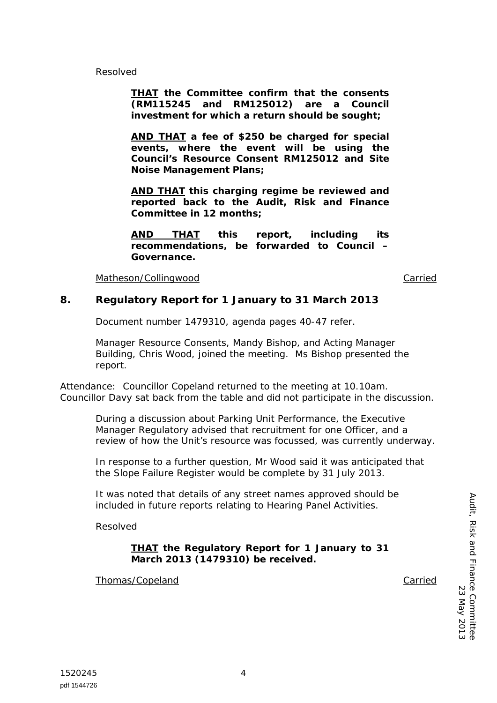Resolved

*THAT the Committee confirm that the consents (RM115245 and RM125012) are a Council investment for which a return should be sought;*

*AND THAT a fee of \$250 be charged for special events, where the event will be using the Council's Resource Consent RM125012 and Site Noise Management Plans;*

*AND THAT this charging regime be reviewed and reported back to the Audit, Risk and Finance Committee in 12 months;*

*AND THAT this report, including its recommendations, be forwarded to Council – Governance.*

Matheson/Collingwood **Carried** Carried Carried Carried Carried Carried Carried Carried Carried Carried Carried Carried Carried Carried Carried Carried Carried Carried Carried Carried Carried Carried Carried Carried Carried

### **8. Regulatory Report for 1 January to 31 March 2013**

Document number 1479310, agenda pages 40-47 refer.

Manager Resource Consents, Mandy Bishop, and Acting Manager Building, Chris Wood, joined the meeting. Ms Bishop presented the report.

Attendance: Councillor Copeland returned to the meeting at 10.10am. Councillor Davy sat back from the table and did not participate in the discussion.

During a discussion about Parking Unit Performance, the Executive Manager Regulatory advised that recruitment for one Officer, and a review of how the Unit's resource was focussed, was currently underway.

In response to a further question, Mr Wood said it was anticipated that the Slope Failure Register would be complete by 31 July 2013.

It was noted that details of any street names approved should be included in future reports relating to Hearing Panel Activities.

Resolved

### *THAT the Regulatory Report for 1 January to 31 March 2013 (1479310) be received.*

Thomas/Copeland Carried Carried Carried